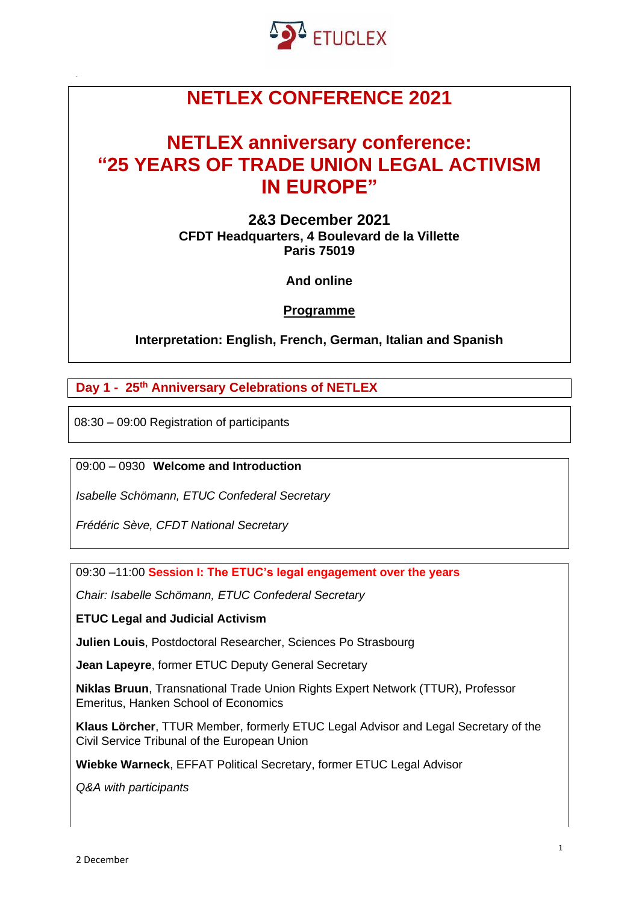

# **NETLEX CONFERENCE 2021**

## **NETLEX anniversary conference: "25 YEARS OF TRADE UNION LEGAL ACTIVISM IN EUROPE"**

**2&3 December 2021 CFDT Headquarters, 4 Boulevard de la Villette Paris 75019**

**And online**

**Programme** 

**Interpretation: English, French, German, Italian and Spanish** 

**Day 1 - 25th Anniversary Celebrations of NETLEX** 

08:30 – 09:00 Registration of participants

09:00 – 0930 **Welcome and Introduction** 

*Isabelle Schömann, ETUC Confederal Secretary*

*Frédéric Sève, CFDT National Secretary*

09:30 –11:00 **Session I: The ETUC's legal engagement over the years**

*Chair: Isabelle Schömann, ETUC Confederal Secretary*

**ETUC Legal and Judicial Activism** 

**Julien Louis**, Postdoctoral Researcher, Sciences Po Strasbourg

**Jean Lapeyre**, former ETUC Deputy General Secretary

**Niklas Bruun**, Transnational Trade Union Rights Expert Network (TTUR), Professor Emeritus, Hanken School of Economics

**Klaus Lörcher**, TTUR Member, formerly ETUC Legal Advisor and Legal Secretary of the Civil Service Tribunal of the European Union

**Wiebke Warneck**, EFFAT Political Secretary, former ETUC Legal Advisor

*Q&A with participants*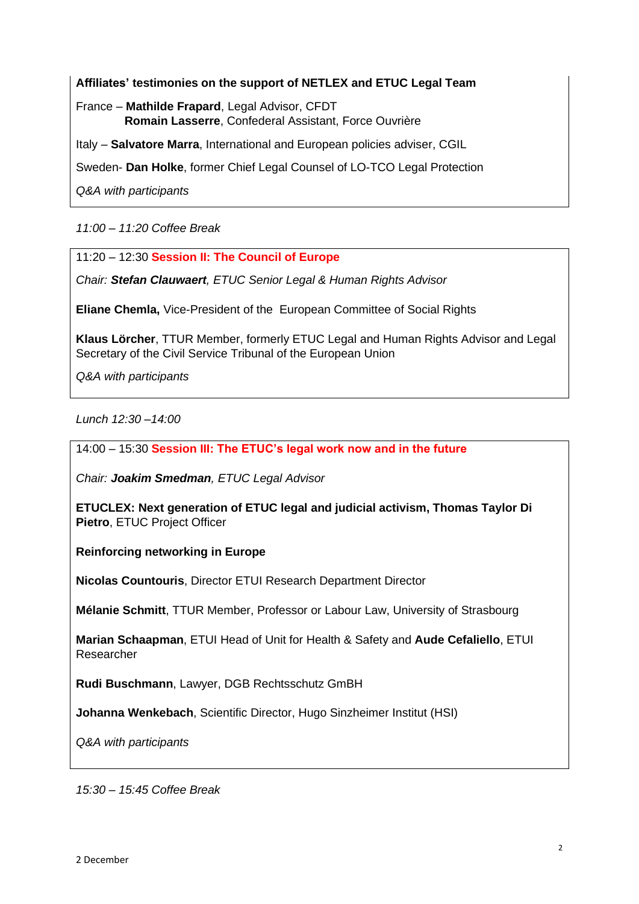#### **Affiliates' testimonies on the support of NETLEX and ETUC Legal Team**

France – **Mathilde Frapard**, Legal Advisor, CFDT **Romain Lasserre**, Confederal Assistant, Force Ouvrière

Italy – **Salvatore Marra**, International and European policies adviser, CGIL

Sweden- **Dan Holke**, former Chief Legal Counsel of LO-TCO Legal Protection

*Q&A with participants*

*11:00* – *11:20 Coffee Break*

11:20 – 12:30 **Session II: The Council of Europe**

*Chair: Stefan Clauwaert, ETUC Senior Legal & Human Rights Advisor*

**Eliane Chemla,** Vice-President of the European Committee of Social Rights

**Klaus Lörcher**, TTUR Member, formerly ETUC Legal and Human Rights Advisor and Legal Secretary of the Civil Service Tribunal of the European Union

*Q&A with participants*

*Lunch 12:30* –*14:00*

14:00 – 15:30 **Session III: The ETUC's legal work now and in the future**

*Chair: Joakim Smedman, ETUC Legal Advisor*

**ETUCLEX: Next generation of ETUC legal and judicial activism, Thomas Taylor Di Pietro**, ETUC Project Officer

**Reinforcing networking in Europe** 

**Nicolas Countouris**, Director ETUI Research Department Director

**Mélanie Schmitt**, TTUR Member, Professor or Labour Law, University of Strasbourg

**Marian Schaapman**, ETUI Head of Unit for Health & Safety and **Aude Cefaliello**, ETUI Researcher

**Rudi Buschmann**, Lawyer, DGB Rechtsschutz GmBH

**Johanna Wenkebach**, Scientific Director, Hugo Sinzheimer Institut (HSI)

*Q&A with participants*

*15:30* – *15:45 Coffee Break*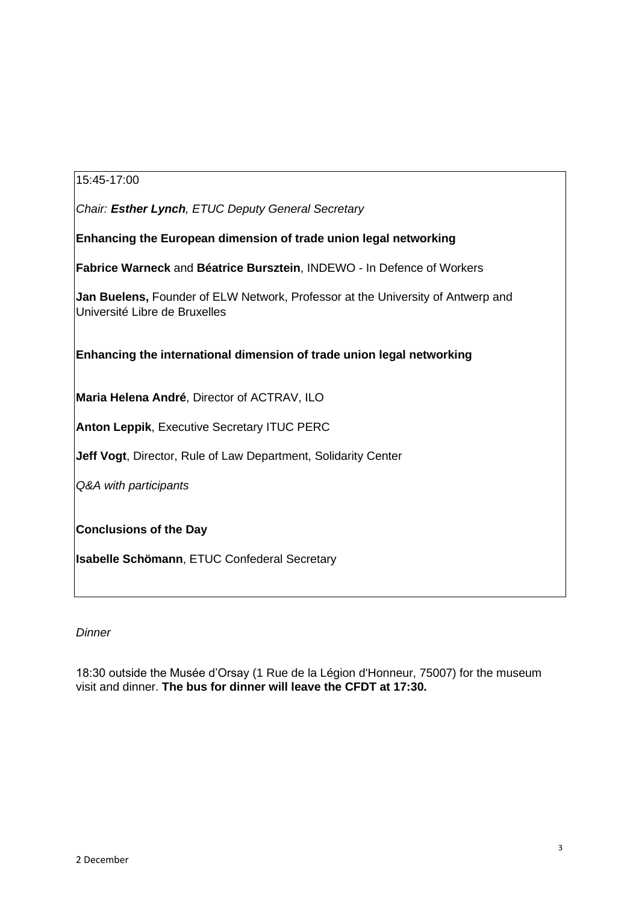### 15:45-17:00

*Chair: Esther Lynch, ETUC Deputy General Secretary*

**Enhancing the European dimension of trade union legal networking**

**Fabrice Warneck** and **Béatrice Bursztein**, INDEWO - In Defence of Workers

**Jan Buelens,** Founder of ELW Network, Professor at the University of Antwerp and Université Libre de Bruxelles

**Enhancing the international dimension of trade union legal networking**

**Maria Helena André**, Director of ACTRAV, ILO

**Anton Leppik**, Executive Secretary ITUC PERC

**Jeff Vogt**, Director, Rule of Law Department, Solidarity Center

*Q&A with participants*

**Conclusions of the Day**

**Isabelle Schömann**, ETUC Confederal Secretary

#### *Dinner*

18:30 outside the Musée d'Orsay (1 Rue de la Légion d'Honneur, 75007) for the museum visit and dinner. **The bus for dinner will leave the CFDT at 17:30.**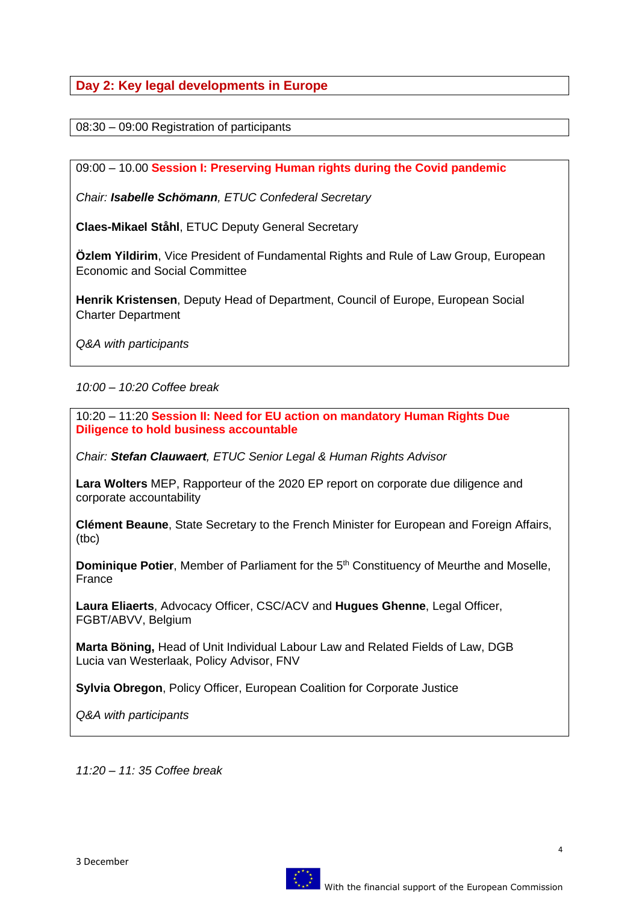**Day 2: Key legal developments in Europe**

08:30 – 09:00 Registration of participants

09:00 – 10.00 **Session I: Preserving Human rights during the Covid pandemic**

*Chair: Isabelle Schömann, ETUC Confederal Secretary*

**Claes-Mikael Ståhl**, ETUC Deputy General Secretary

**Özlem Yildirim**, Vice President of Fundamental Rights and Rule of Law Group, European Economic and Social Committee

**Henrik Kristensen**, Deputy Head of Department, Council of Europe, European Social Charter Department

*Q&A with participants*

*10:00 – 10:20 Coffee break*

10:20 – 11:20 **Session II: Need for EU action on mandatory Human Rights Due Diligence to hold business accountable** 

*Chair: Stefan Clauwaert, ETUC Senior Legal & Human Rights Advisor*

**Lara Wolters** MEP, Rapporteur of the 2020 EP report on corporate due diligence and corporate accountability

**Clément Beaune**, State Secretary to the French Minister for European and Foreign Affairs, (tbc)

**Dominique Potier**, Member of Parliament for the 5<sup>th</sup> Constituency of Meurthe and Moselle, France

**Laura Eliaerts**, Advocacy Officer, CSC/ACV and **Hugues Ghenne**, Legal Officer, FGBT/ABVV, Belgium

**Marta Böning,** Head of Unit Individual Labour Law and Related Fields of Law, DGB Lucia van Westerlaak, Policy Advisor, FNV

**Sylvia Obregon**, Policy Officer, European Coalition for Corporate Justice

*Q&A with participants*

*11:20 – 11: 35 Coffee break*